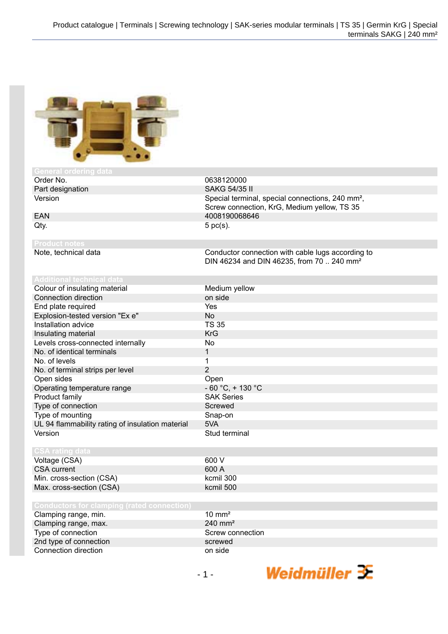Screw connection, KrG, Medium yellow, TS 35

Conductor connection with cable lugs according to DIN 46234 and DIN 46235, from 70 .. 240 mm²



| <b>General Order Hu data</b> |                                                              |
|------------------------------|--------------------------------------------------------------|
| Order No.                    | 0638120000                                                   |
| Part designation             | SAKG 54/35 II                                                |
| Version                      | Special terminal, special connections, 240 mm <sup>2</sup> , |

EAN 4008190068646  $Qty.$  5 pc(s).

**Product notes**

# **Additional technical data**

| Colour of insulating material                    | Medium yellow        |
|--------------------------------------------------|----------------------|
| Connection direction                             | on side              |
| End plate required                               | Yes                  |
| Explosion-tested version "Ex e"                  | <b>No</b>            |
| Installation advice                              | <b>TS 35</b>         |
| Insulating material                              | <b>KrG</b>           |
| Levels cross-connected internally                | No                   |
| No. of identical terminals                       | 1                    |
| No. of levels                                    | 1                    |
| No. of terminal strips per level                 | 2                    |
| Open sides                                       | Open                 |
| Operating temperature range                      | $-60 °C$ , $+130 °C$ |
| Product family                                   | <b>SAK Series</b>    |
| Type of connection                               | Screwed              |
| Type of mounting                                 | Snap-on              |
| UL 94 flammability rating of insulation material | 5VA                  |
| Version                                          | Stud terminal        |
|                                                  |                      |

## **CSA rating data**

| Voltage (CSA)            | 600 V |
|--------------------------|-------|
| CSA current              | 600 A |
| Min. cross-section (CSA) | kcmil |
| Max. cross-section (CSA) | kcmil |

| Clamping range, min.   | $10 \text{ mm}^2$     |
|------------------------|-----------------------|
| Clamping range, max.   | $240$ mm <sup>2</sup> |
| Type of connection     | Screw connection      |
| 2nd type of connection | screwed               |
| Connection direction   | on side               |

kcmil 300 kcmil 500

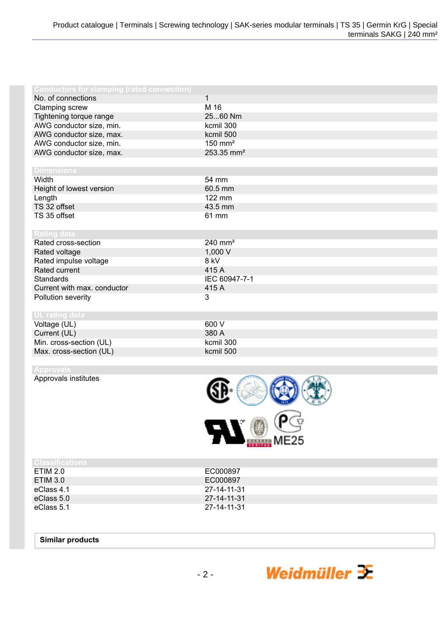| <b>Conductors for clamping (rated connection)</b>                     |                                           |
|-----------------------------------------------------------------------|-------------------------------------------|
| No. of connections                                                    | $\mathbf{1}$                              |
| Clamping screw                                                        | M 16                                      |
| Tightening torque range                                               | 2560 Nm                                   |
| AWG conductor size, min.                                              | kcmil 300                                 |
| AWG conductor size, max.                                              | kcmil 500                                 |
| AWG conductor size, min.                                              | $150$ mm <sup>2</sup>                     |
| AWG conductor size, max.                                              | 253.35 mm <sup>2</sup>                    |
|                                                                       |                                           |
| <b>Dimensions</b>                                                     |                                           |
| Width                                                                 | 54 mm                                     |
| Height of lowest version                                              | 60.5 mm                                   |
| Length                                                                | 122 mm                                    |
| TS 32 offset                                                          | 43.5 mm                                   |
| TS 35 offset                                                          | 61 mm                                     |
|                                                                       |                                           |
| <b>Rating data</b>                                                    |                                           |
| Rated cross-section                                                   | $240$ mm <sup>2</sup>                     |
| Rated voltage                                                         |                                           |
|                                                                       |                                           |
|                                                                       | 415 A                                     |
| <b>Standards</b>                                                      |                                           |
|                                                                       |                                           |
| Pollution severity                                                    | 3                                         |
|                                                                       |                                           |
| <b>UL</b> rating data                                                 |                                           |
| Voltage (UL)                                                          | 600 V                                     |
| Current (UL)                                                          | 380 A                                     |
| Min. cross-section (UL)                                               | kcmil 300                                 |
| Max. cross-section (UL)                                               | kcmil 500                                 |
| Rated impulse voltage<br>Rated current<br>Current with max. conductor | 1,000 V<br>8 kV<br>IEC 60947-7-1<br>415 A |

Approvals institutes



| <b>Classifications</b> |             |
|------------------------|-------------|
| ETIM 2.0               | EC000897    |
| ETIM 3.0               | EC000897    |
| eClass 4.1             | 27-14-11-31 |
| eClass 5.0             | 27-14-11-31 |
| eClass 5.1             | 27-14-11-31 |

### **Similar products**